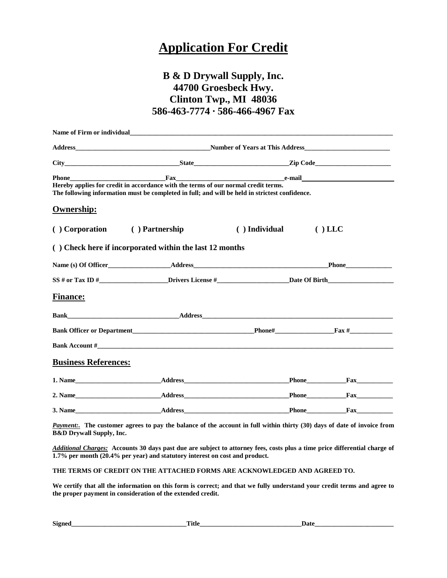## **Application For Credit**

## **B & D Drywall Supply, Inc. 44700 Groesbeck Hwy. Clinton Twp., MI 48036 586-463-7774 ∙ 586-466-4967 Fax**

|                                                                                                                                                                                      | Name of Firm or individual states and the state of the state of the state of the state of the state of the state of the state of the state of the state of the state of the state of the state of the state of the state of th                            |                                                                          |           |  |  |
|--------------------------------------------------------------------------------------------------------------------------------------------------------------------------------------|-----------------------------------------------------------------------------------------------------------------------------------------------------------------------------------------------------------------------------------------------------------|--------------------------------------------------------------------------|-----------|--|--|
|                                                                                                                                                                                      |                                                                                                                                                                                                                                                           |                                                                          |           |  |  |
|                                                                                                                                                                                      |                                                                                                                                                                                                                                                           |                                                                          |           |  |  |
|                                                                                                                                                                                      | Phone e-mail e-mail e-mail e-mail e-mail e-mail e-mail e-mail e-mail e-mail e-mail e-mail e-mail e-mail e-mail e-mail e-mail e-mail e-mail e-mail e-mail e-mail e-mail e-mail e-mail e-mail e-mail e-mail e-mail e-mail e-mail                            |                                                                          |           |  |  |
| Hereby applies for credit in accordance with the terms of our normal credit terms.<br>The following information must be completed in full; and will be held in strictest confidence. |                                                                                                                                                                                                                                                           |                                                                          |           |  |  |
| Ownership:                                                                                                                                                                           |                                                                                                                                                                                                                                                           |                                                                          |           |  |  |
| ( ) Corporation ( ) Partnership                                                                                                                                                      |                                                                                                                                                                                                                                                           | $( )$ Individual                                                         | $()$ LLC  |  |  |
| () Check here if incorporated within the last 12 months                                                                                                                              |                                                                                                                                                                                                                                                           |                                                                          |           |  |  |
|                                                                                                                                                                                      | Name (s) Of Officer<br><u>Address</u><br>Address<br>Address<br>Address<br>Andress<br>Address<br>Address<br>Address<br>Address<br>Address<br>Andre Distribution of the Distribution of the Distribution of the Distribution of the Distribution of the Dis |                                                                          |           |  |  |
|                                                                                                                                                                                      |                                                                                                                                                                                                                                                           | $S S \#$ or Tax ID $\#$ Drivers License $\#$ Date Of Birth Date Of Birth |           |  |  |
| <b>Finance:</b>                                                                                                                                                                      |                                                                                                                                                                                                                                                           |                                                                          |           |  |  |
|                                                                                                                                                                                      |                                                                                                                                                                                                                                                           |                                                                          |           |  |  |
|                                                                                                                                                                                      |                                                                                                                                                                                                                                                           |                                                                          |           |  |  |
|                                                                                                                                                                                      |                                                                                                                                                                                                                                                           |                                                                          |           |  |  |
| <b>Business References:</b>                                                                                                                                                          |                                                                                                                                                                                                                                                           |                                                                          |           |  |  |
|                                                                                                                                                                                      | 1. Name Address Address Address Address Address Address Address Address Address Address Address Address Address Address Address Address Address Address Address Address Address Address Address Address Address Address Addres                            |                                                                          | Phone Fax |  |  |
|                                                                                                                                                                                      | 2. Name Fax Fax Address Address Phone Fax                                                                                                                                                                                                                 |                                                                          |           |  |  |
|                                                                                                                                                                                      | 3. Name Address Address                                                                                                                                                                                                                                   |                                                                          | Phone Fax |  |  |

*Payment:.* **The customer agrees to pay the balance of the account in full within thirty (30) days of date of invoice from B&D Drywall Supply, Inc.**

*Additional Charges:* **Accounts 30 days past due are subject to attorney fees, costs plus a time price differential charge of 1.7% per month (20.4% per year) and statutory interest on cost and product.**

**THE TERMS OF CREDIT ON THE ATTACHED FORMS ARE ACKNOWLEDGED AND AGREED TO.**

**We certify that all the information on this form is correct; and that we fully understand your credit terms and agree to the proper payment in consideration of the extended credit.**

| n.<br>$S10^{\circ}$ | . | l 101<br>--- |
|---------------------|---|--------------|
|                     |   |              |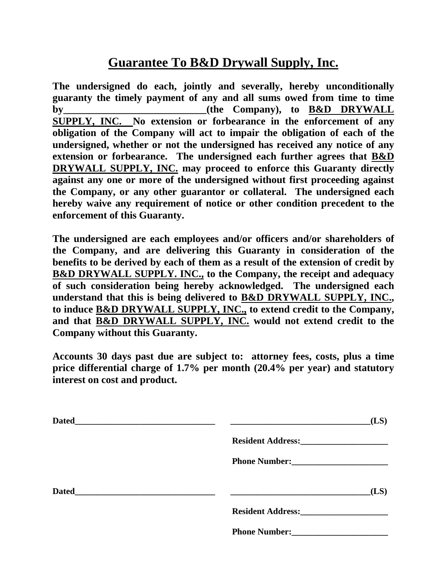## **Guarantee To B&D Drywall Supply, Inc.**

**The undersigned do each, jointly and severally, hereby unconditionally guaranty the timely payment of any and all sums owed from time to time**  by (the Company), to B&D DRYWALL **SUPPLY, INC. No extension or forbearance in the enforcement of any obligation of the Company will act to impair the obligation of each of the undersigned, whether or not the undersigned has received any notice of any extension or forbearance. The undersigned each further agrees that B&D DRYWALL SUPPLY, INC. may proceed to enforce this Guaranty directly against any one or more of the undersigned without first proceeding against the Company, or any other guarantor or collateral. The undersigned each hereby waive any requirement of notice or other condition precedent to the enforcement of this Guaranty.**

**The undersigned are each employees and/or officers and/or shareholders of the Company, and are delivering this Guaranty in consideration of the benefits to be derived by each of them as a result of the extension of credit by B&D DRYWALL SUPPLY. INC., to the Company, the receipt and adequacy of such consideration being hereby acknowledged. The undersigned each understand that this is being delivered to B&D DRYWALL SUPPLY, INC., to induce B&D DRYWALL SUPPLY, INC., to extend credit to the Company, and that B&D DRYWALL SUPPLY, INC. would not extend credit to the Company without this Guaranty.**

**Accounts 30 days past due are subject to: attorney fees, costs, plus a time price differential charge of 1.7% per month (20.4% per year) and statutory interest on cost and product.**

| <b>Dated</b> |                                                                                                                                                                                                                                     | (LS) |
|--------------|-------------------------------------------------------------------------------------------------------------------------------------------------------------------------------------------------------------------------------------|------|
|              | Resident Address: Management Address:                                                                                                                                                                                               |      |
|              | Phone Number: New York School School School School School School School School School School School School School School School School School School School School School School School School School School School School Sch      |      |
| <b>Dated</b> |                                                                                                                                                                                                                                     | (LS) |
|              | <b>Resident Address:</b>                                                                                                                                                                                                            |      |
|              | <b>Phone Number:</b> The Manuscripture of the Manuscripture of the Manuscripture of the Manuscripture of the Manuscripture of the Manuscripture of the Manuscripture of the Manuscripture of the Manuscripture of the Manuscripture |      |